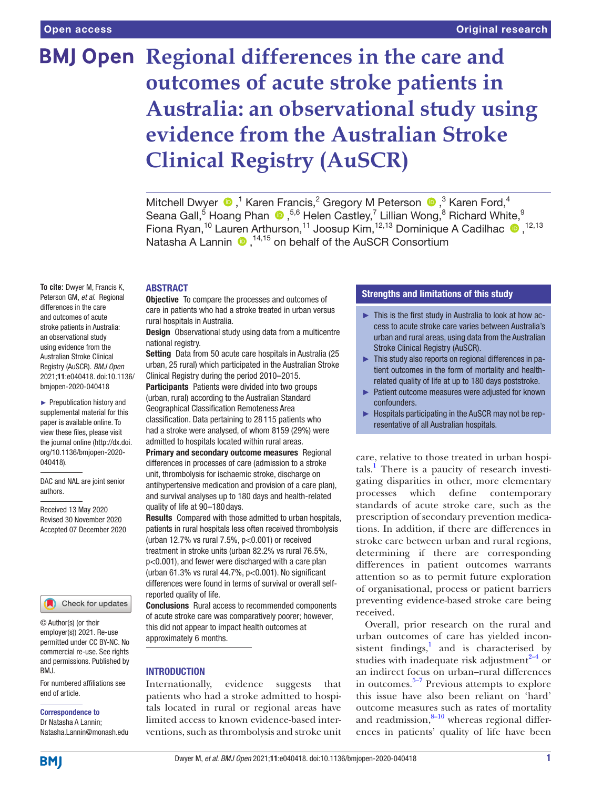# **BMJ Open Regional differences in the care and outcomes of acute stroke patients in Australia: an observational study using evidence from the Australian Stroke Clinical Registry (AuSCR)**

MitchellDwyer  $\bigcirc$ ,<sup>1</sup> Karen Francis,<sup>2</sup> Gregory M Peterson  $\bigcirc$ ,<sup>3</sup> Karen Ford,<sup>4</sup> SeanaGall,<sup>5</sup> Hoang Phan  $\bigcirc$ , 5,6 Helen Castley,<sup>7</sup> Lillian Wong,<sup>8</sup> Richard White,<sup>9</sup> Fiona Ryan,<sup>10</sup> Lauren Arthurson,<sup>11</sup> Joosup Kim,<sup>12,13</sup> Dominique A Cadilhac  $\bullet$ ,<sup>12,13</sup> Natasha A Lannin  $\bullet$ , <sup>14,15</sup> on behalf of the AuSCR Consortium

#### **ABSTRACT**

**Objective** To compare the processes and outcomes of care in patients who had a stroke treated in urban versus rural hospitals in Australia.

**Design** Observational study using data from a multicentre national registry.

Setting Data from 50 acute care hospitals in Australia (25) urban, 25 rural) which participated in the Australian Stroke Clinical Registry during the period 2010–2015.

Participants Patients were divided into two groups (urban, rural) according to the Australian Standard Geographical Classification Remoteness Area classification. Data pertaining to 28 115 patients who had a stroke were analysed, of whom 8159 (29%) were admitted to hospitals located within rural areas.

Primary and secondary outcome measures Regional differences in processes of care (admission to a stroke unit, thrombolysis for ischaemic stroke, discharge on antihypertensive medication and provision of a care plan), and survival analyses up to 180 days and health-related quality of life at 90–180 days.

Results Compared with those admitted to urban hospitals, patients in rural hospitals less often received thrombolysis (urban 12.7% vs rural  $7.5%$ ,  $p<0.001$ ) or received treatment in stroke units (urban 82.2% vs rural 76.5%, p<0.001), and fewer were discharged with a care plan (urban  $61.3\%$  vs rural  $44.7\%$ ,  $p<0.001$ ). No significant differences were found in terms of survival or overall selfreported quality of life.

Conclusions Rural access to recommended components of acute stroke care was comparatively poorer; however, this did not appear to impact health outcomes at approximately 6 months.

#### **INTRODUCTION**

Internationally, evidence suggests that patients who had a stroke admitted to hospitals located in rural or regional areas have limited access to known evidence-based interventions, such as thrombolysis and stroke unit

#### Strengths and limitations of this study

- ► This is the first study in Australia to look at how access to acute stroke care varies between Australia's urban and rural areas, using data from the Australian Stroke Clinical Registry (AuSCR).
- ► This study also reports on regional differences in patient outcomes in the form of mortality and healthrelated quality of life at up to 180 days poststroke.
- ► Patient outcome measures were adjusted for known confounders.
- ► Hospitals participating in the AuSCR may not be representative of all Australian hospitals.

care, relative to those treated in urban hospitals.<sup>1</sup> There is a paucity of research investigating disparities in other, more elementary processes which define contemporary standards of acute stroke care, such as the prescription of secondary prevention medications. In addition, if there are differences in stroke care between urban and rural regions, determining if there are corresponding differences in patient outcomes warrants attention so as to permit future exploration of organisational, process or patient barriers preventing evidence-based stroke care being received.

Overall, prior research on the rural and urban outcomes of care has yielded inconsistent findings, $<sup>1</sup>$  and is characterised by</sup> studies with inadequate risk adjustment $2-4$  or an indirect focus on urban–rural differences in outcomes. $5-7$  Previous attempts to explore this issue have also been reliant on 'hard' outcome measures such as rates of mortality and readmission, $8-10$  whereas regional differences in patients' quality of life have been

**To cite:** Dwyer M, Francis K, Peterson GM, *et al*. Regional differences in the care and outcomes of acute stroke patients in Australia: an observational study using evidence from the Australian Stroke Clinical Registry (AuSCR). *BMJ Open* 2021;11:e040418. doi:10.1136/ bmjopen-2020-040418

► Prepublication history and supplemental material for this paper is available online. To view these files, please visit the journal online [\(http://dx.doi.](http://dx.doi.org/10.1136/bmjopen-2020-040418) [org/10.1136/bmjopen-2020-](http://dx.doi.org/10.1136/bmjopen-2020-040418) [040418\)](http://dx.doi.org/10.1136/bmjopen-2020-040418).

DAC and NAL are joint senior authors.

Received 13 May 2020 Revised 30 November 2020 Accepted 07 December 2020

Check for updates

© Author(s) (or their employer(s)) 2021. Re-use permitted under CC BY-NC. No commercial re-use. See rights and permissions. Published by BMJ.

For numbered affiliations see end of article.

#### Correspondence to

Dr Natasha A Lannin; Natasha.Lannin@monash.edu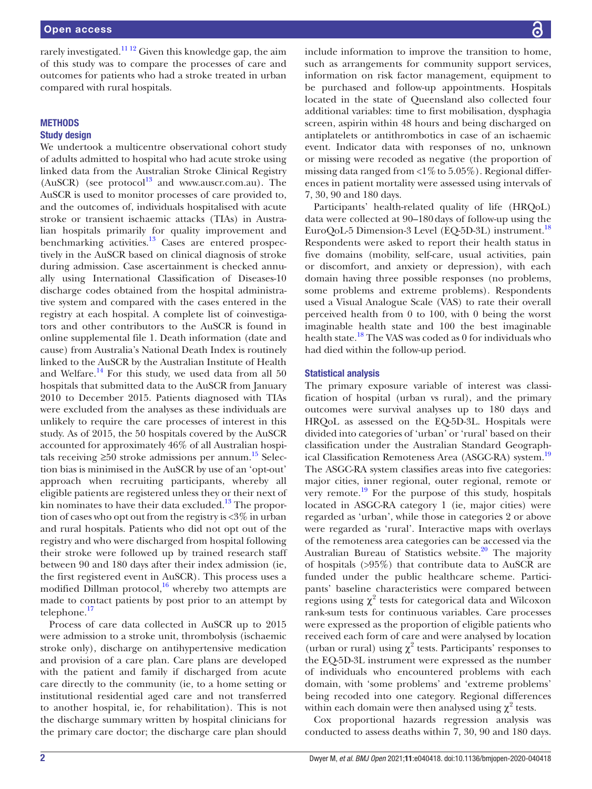rarely investigated.<sup>1112</sup> Given this knowledge gap, the aim of this study was to compare the processes of care and outcomes for patients who had a stroke treated in urban compared with rural hospitals.

## **METHODS**

### Study design

We undertook a multicentre observational cohort study of adults admitted to hospital who had acute stroke using linked data from the Australian Stroke Clinical Registry (AuSCR) (see protocol<sup>[13](#page-6-5)</sup> and <www.auscr.com.au>). The AuSCR is used to monitor processes of care provided to, and the outcomes of, individuals hospitalised with acute stroke or transient ischaemic attacks (TIAs) in Australian hospitals primarily for quality improvement and benchmarking activities.<sup>13</sup> Cases are entered prospectively in the AuSCR based on clinical diagnosis of stroke during admission. Case ascertainment is checked annually using International Classification of Diseases-10 discharge codes obtained from the hospital administrative system and compared with the cases entered in the registry at each hospital. A complete list of coinvestigators and other contributors to the AuSCR is found in [online supplemental file 1.](https://dx.doi.org/10.1136/bmjopen-2020-040418) Death information (date and cause) from Australia's National Death Index is routinely linked to the AuSCR by the Australian Institute of Health and Welfare.<sup>14</sup> For this study, we used data from all  $50$ hospitals that submitted data to the AuSCR from January 2010 to December 2015. Patients diagnosed with TIAs were excluded from the analyses as these individuals are unlikely to require the care processes of interest in this study. As of 2015, the 50 hospitals covered by the AuSCR accounted for approximately 46% of all Australian hospitals receiving  $\geq 50$  stroke admissions per annum.<sup>15</sup> Selection bias is minimised in the AuSCR by use of an 'opt-out' approach when recruiting participants, whereby all eligible patients are registered unless they or their next of kin nominates to have their data excluded.<sup>13</sup> The proportion of cases who opt out from the registry is <3% in urban and rural hospitals. Patients who did not opt out of the registry and who were discharged from hospital following their stroke were followed up by trained research staff between 90 and 180 days after their index admission (ie, the first registered event in AuSCR). This process uses a modified Dillman protocol, $16$  whereby two attempts are made to contact patients by post prior to an attempt by telephone.<sup>[17](#page-6-9)</sup>

Process of care data collected in AuSCR up to 2015 were admission to a stroke unit, thrombolysis (ischaemic stroke only), discharge on antihypertensive medication and provision of a care plan. Care plans are developed with the patient and family if discharged from acute care directly to the community (ie, to a home setting or institutional residential aged care and not transferred to another hospital, ie, for rehabilitation). This is not the discharge summary written by hospital clinicians for the primary care doctor; the discharge care plan should

include information to improve the transition to home, such as arrangements for community support services, information on risk factor management, equipment to be purchased and follow-up appointments. Hospitals located in the state of Queensland also collected four additional variables: time to first mobilisation, dysphagia screen, aspirin within 48 hours and being discharged on antiplatelets or antithrombotics in case of an ischaemic event. Indicator data with responses of no, unknown or missing were recoded as negative (the proportion of missing data ranged from  $\langle 1\% \text{ to } 5.05\% \rangle$ . Regional differences in patient mortality were assessed using intervals of 7, 30, 90 and 180 days.

Participants' health-related quality of life (HRQoL) data were collected at 90–180days of follow-up using the EuroQoL-5 Dimension-3 Level (EQ-5D-3L) instrument.<sup>[18](#page-6-10)</sup> Respondents were asked to report their health status in five domains (mobility, self-care, usual activities, pain or discomfort, and anxiety or depression), with each domain having three possible responses (no problems, some problems and extreme problems). Respondents used a Visual Analogue Scale (VAS) to rate their overall perceived health from 0 to 100, with 0 being the worst imaginable health state and 100 the best imaginable health state.<sup>[18](#page-6-10)</sup> The VAS was coded as 0 for individuals who had died within the follow-up period.

#### Statistical analysis

The primary exposure variable of interest was classification of hospital (urban vs rural), and the primary outcomes were survival analyses up to 180 days and HRQoL as assessed on the EQ-5D-3L. Hospitals were divided into categories of 'urban' or 'rural' based on their classification under the Australian Standard Geograph-ical Classification Remoteness Area (ASGC-RA) system.<sup>[19](#page-6-11)</sup> The ASGC-RA system classifies areas into five categories: major cities, inner regional, outer regional, remote or very remote.[19](#page-6-11) For the purpose of this study, hospitals located in ASGC-RA category 1 (ie, major cities) were regarded as 'urban', while those in categories 2 or above were regarded as 'rural'. Interactive maps with overlays of the remoteness area categories can be accessed via the Australian Bureau of Statistics website.<sup>20</sup> The majority of hospitals (>95%) that contribute data to AuSCR are funded under the public healthcare scheme. Participants' baseline characteristics were compared between regions using  $\chi^2$  tests for categorical data and Wilcoxon rank-sum tests for continuous variables. Care processes were expressed as the proportion of eligible patients who received each form of care and were analysed by location (urban or rural) using  $\chi^2$  tests. Participants' responses to the EQ-5D-3L instrument were expressed as the number of individuals who encountered problems with each domain, with 'some problems' and 'extreme problems' being recoded into one category. Regional differences within each domain were then analysed using  $\chi^2$  tests.

Cox proportional hazards regression analysis was conducted to assess deaths within 7, 30, 90 and 180 days.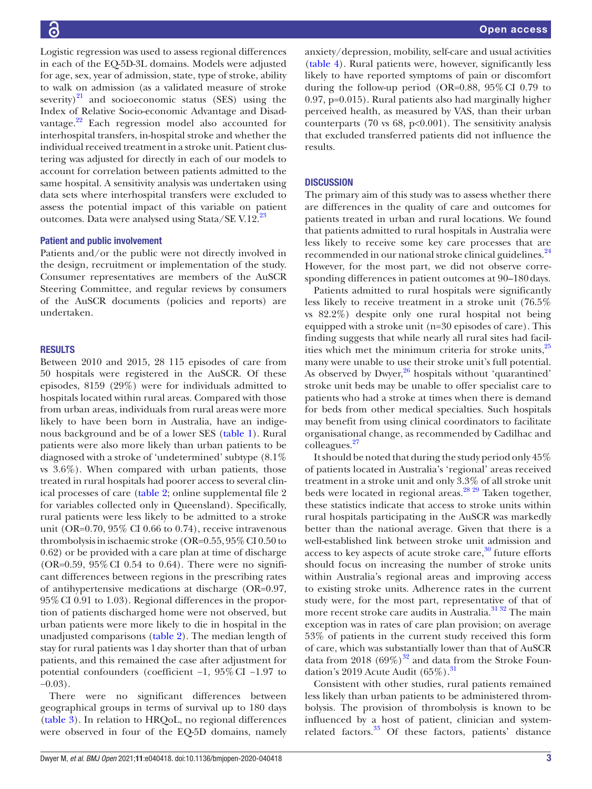Logistic regression was used to assess regional differences in each of the EQ-5D-3L domains. Models were adjusted for age, sex, year of admission, state, type of stroke, ability to walk on admission (as a validated measure of stroke severity) $^{21}$  and socioeconomic status (SES) using the Index of Relative Socio-economic Advantage and Disadvantage.<sup>22</sup> Each regression model also accounted for interhospital transfers, in-hospital stroke and whether the individual received treatment in a stroke unit. Patient clustering was adjusted for directly in each of our models to account for correlation between patients admitted to the same hospital. A sensitivity analysis was undertaken using data sets where interhospital transfers were excluded to assess the potential impact of this variable on patient outcomes. Data were analysed using Stata/SE V.12.<sup>23</sup>

#### Patient and public involvement

Patients and/or the public were not directly involved in the design, recruitment or implementation of the study. Consumer representatives are members of the AuSCR Steering Committee, and regular reviews by consumers of the AuSCR documents (policies and reports) are undertaken.

#### RESULTS

Between 2010 and 2015, 28 115 episodes of care from 50 hospitals were registered in the AuSCR. Of these episodes, 8159 (29%) were for individuals admitted to hospitals located within rural areas. Compared with those from urban areas, individuals from rural areas were more likely to have been born in Australia, have an indigenous background and be of a lower SES ([table](#page-3-0) 1). Rural patients were also more likely than urban patients to be diagnosed with a stroke of 'undetermined' subtype (8.1% vs 3.6%). When compared with urban patients, those treated in rural hospitals had poorer access to several clinical processes of care ([table](#page-4-0) 2; [online supplemental file 2](https://dx.doi.org/10.1136/bmjopen-2020-040418) for variables collected only in Queensland). Specifically, rural patients were less likely to be admitted to a stroke unit (OR=0.70, 95% CI 0.66 to 0.74), receive intravenous thrombolysis in ischaemic stroke (OR=0.55,  $95\%$  CI 0.50 to 0.62) or be provided with a care plan at time of discharge (OR=0.59,  $95\%$  CI 0.54 to 0.64). There were no significant differences between regions in the prescribing rates of antihypertensive medications at discharge (OR=0.97, 95%CI 0.91 to 1.03). Regional differences in the proportion of patients discharged home were not observed, but urban patients were more likely to die in hospital in the unadjusted comparisons ([table](#page-4-0) 2). The median length of stay for rural patients was 1day shorter than that of urban patients, and this remained the case after adjustment for potential confounders (coefficient −1, 95%CI −1.97 to  $-0.03$ ).

There were no significant differences between geographical groups in terms of survival up to 180 days ([table](#page-4-1) 3). In relation to HRQoL, no regional differences were observed in four of the EQ-5D domains, namely

anxiety/depression, mobility, self-care and usual activities [\(table](#page-5-0) 4). Rural patients were, however, significantly less likely to have reported symptoms of pain or discomfort during the follow-up period (OR=0.88, 95%CI 0.79 to 0.97, p=0.015). Rural patients also had marginally higher perceived health, as measured by VAS, than their urban counterparts (70 vs 68,  $p<0.001$ ). The sensitivity analysis that excluded transferred patients did not influence the results.

#### **DISCUSSION**

The primary aim of this study was to assess whether there are differences in the quality of care and outcomes for patients treated in urban and rural locations. We found that patients admitted to rural hospitals in Australia were less likely to receive some key care processes that are recommended in our national stroke clinical guidelines.<sup>[24](#page-7-1)</sup> However, for the most part, we did not observe corresponding differences in patient outcomes at 90–180 days.

Patients admitted to rural hospitals were significantly less likely to receive treatment in a stroke unit (76.5% vs 82.2%) despite only one rural hospital not being equipped with a stroke unit (n=30 episodes of care). This finding suggests that while nearly all rural sites had facilities which met the minimum criteria for stroke units, $^{25}$  $^{25}$  $^{25}$ many were unable to use their stroke unit's full potential. As observed by Dwyer, $26$  hospitals without 'quarantined' stroke unit beds may be unable to offer specialist care to patients who had a stroke at times when there is demand for beds from other medical specialties. Such hospitals may benefit from using clinical coordinators to facilitate organisational change, as recommended by Cadilhac and colleagues.[27](#page-7-4)

It should be noted that during the study period only 45% of patients located in Australia's 'regional' areas received treatment in a stroke unit and only 3.3% of all stroke unit beds were located in regional areas.<sup>[28 29](#page-7-5)</sup> Taken together, these statistics indicate that access to stroke units within rural hospitals participating in the AuSCR was markedly better than the national average. Given that there is a well-established link between stroke unit admission and access to key aspects of acute stroke care, $30$  future efforts should focus on increasing the number of stroke units within Australia's regional areas and improving access to existing stroke units. Adherence rates in the current study were, for the most part, representative of that of more recent stroke care audits in Australia.<sup>31</sup> 32 The main exception was in rates of care plan provision; on average 53% of patients in the current study received this form of care, which was substantially lower than that of AuSCR data from 2018 (69%)<sup>32</sup> and data from the Stroke Foundation's 2019 Acute Audit  $(65\%)$ .<sup>[31](#page-7-7)</sup>

Consistent with other studies, rural patients remained less likely than urban patients to be administered thrombolysis. The provision of thrombolysis is known to be influenced by a host of patient, clinician and systemrelated factors.<sup>33</sup> Of these factors, patients' distance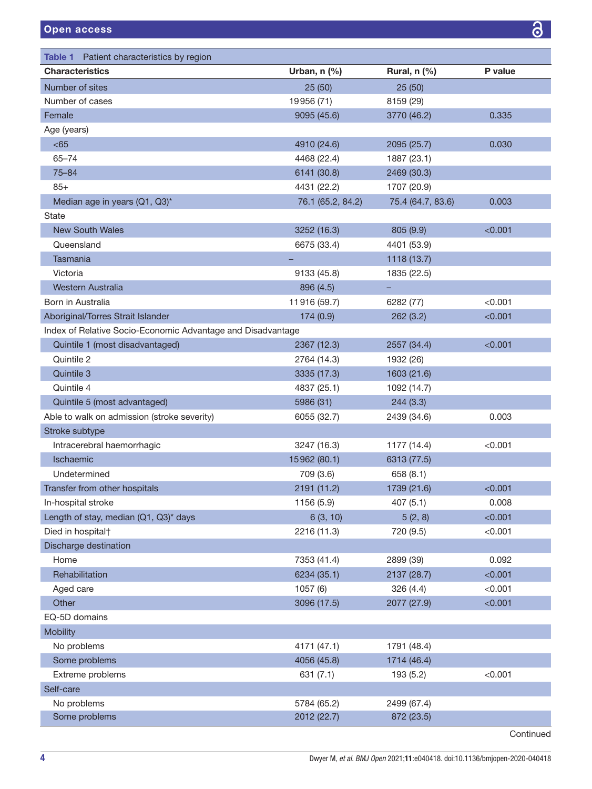<span id="page-3-0"></span>

| <b>Characteristics</b><br>P value<br>Urban, $n$ (%)<br>Rural, n (%)<br>Number of sites<br>25(50)<br>25(50)<br>Number of cases<br>19956 (71)<br>8159 (29)<br>Female<br>0.335<br>9095 (45.6)<br>3770 (46.2) |  |
|-----------------------------------------------------------------------------------------------------------------------------------------------------------------------------------------------------------|--|
|                                                                                                                                                                                                           |  |
|                                                                                                                                                                                                           |  |
|                                                                                                                                                                                                           |  |
|                                                                                                                                                                                                           |  |
| Age (years)                                                                                                                                                                                               |  |
| <65<br>0.030<br>4910 (24.6)<br>2095 (25.7)                                                                                                                                                                |  |
| $65 - 74$<br>4468 (22.4)<br>1887 (23.1)                                                                                                                                                                   |  |
| $75 - 84$<br>6141 (30.8)<br>2469 (30.3)                                                                                                                                                                   |  |
| $85+$<br>1707 (20.9)<br>4431 (22.2)                                                                                                                                                                       |  |
| 76.1 (65.2, 84.2)<br>75.4 (64.7, 83.6)<br>Median age in years (Q1, Q3)*<br>0.003                                                                                                                          |  |
| State                                                                                                                                                                                                     |  |
| <b>New South Wales</b><br>3252 (16.3)<br>805 (9.9)<br>< 0.001                                                                                                                                             |  |
| Queensland<br>6675 (33.4)<br>4401 (53.9)                                                                                                                                                                  |  |
| Tasmania<br>1118 (13.7)                                                                                                                                                                                   |  |
| Victoria<br>9133 (45.8)<br>1835 (22.5)                                                                                                                                                                    |  |
| Western Australia<br>896 (4.5)<br>ц.                                                                                                                                                                      |  |
| 11916 (59.7)<br>< 0.001<br>Born in Australia<br>6282 (77)                                                                                                                                                 |  |
| Aboriginal/Torres Strait Islander<br>174 (0.9)<br>262(3.2)<br>< 0.001                                                                                                                                     |  |
| Index of Relative Socio-Economic Advantage and Disadvantage                                                                                                                                               |  |
| Quintile 1 (most disadvantaged)<br>2557 (34.4)<br>2367 (12.3)<br>< 0.001                                                                                                                                  |  |
| Quintile 2<br>2764 (14.3)<br>1932 (26)                                                                                                                                                                    |  |
| Quintile 3<br>3335 (17.3)<br>1603 (21.6)                                                                                                                                                                  |  |
| Quintile 4<br>4837 (25.1)<br>1092 (14.7)                                                                                                                                                                  |  |
| Quintile 5 (most advantaged)<br>5986 (31)<br>244(3.3)                                                                                                                                                     |  |
| Able to walk on admission (stroke severity)<br>6055 (32.7)<br>2439 (34.6)<br>0.003                                                                                                                        |  |
| Stroke subtype                                                                                                                                                                                            |  |
| Intracerebral haemorrhagic<br>3247 (16.3)<br>< 0.001<br>1177 (14.4)                                                                                                                                       |  |
| Ischaemic<br>15962 (80.1)<br>6313 (77.5)                                                                                                                                                                  |  |
| Undetermined<br>709 (3.6)<br>658(8.1)                                                                                                                                                                     |  |
| 2191 (11.2)<br>1739 (21.6)<br>< 0.001<br>Transfer from other hospitals                                                                                                                                    |  |
| 0.008<br>1156 (5.9)<br>407 (5.1)<br>In-hospital stroke                                                                                                                                                    |  |
| Length of stay, median (Q1, Q3)* days<br>6(3, 10)<br>5(2, 8)<br>< 0.001                                                                                                                                   |  |
| 2216 (11.3)<br>< 0.001<br>Died in hospital <sup>+</sup><br>720 (9.5)                                                                                                                                      |  |
| Discharge destination                                                                                                                                                                                     |  |
| 7353 (41.4)<br>0.092<br>Home<br>2899 (39)                                                                                                                                                                 |  |
| Rehabilitation<br>6234 (35.1)<br>2137 (28.7)<br>< 0.001                                                                                                                                                   |  |
| 1057 (6)<br>< 0.001<br>Aged care<br>326(4.4)                                                                                                                                                              |  |
| Other<br>3096 (17.5)<br>2077 (27.9)<br>< 0.001                                                                                                                                                            |  |
| EQ-5D domains                                                                                                                                                                                             |  |
| <b>Mobility</b>                                                                                                                                                                                           |  |
| No problems<br>4171 (47.1)<br>1791 (48.4)                                                                                                                                                                 |  |
| Some problems<br>4056 (45.8)<br>1714 (46.4)                                                                                                                                                               |  |
| Extreme problems<br>< 0.001<br>631(7.1)<br>193 (5.2)                                                                                                                                                      |  |
| Self-care                                                                                                                                                                                                 |  |
| No problems<br>5784 (65.2)<br>2499 (67.4)                                                                                                                                                                 |  |
| Some problems<br>2012 (22.7)<br>872 (23.5)                                                                                                                                                                |  |

 $\overline{\partial}$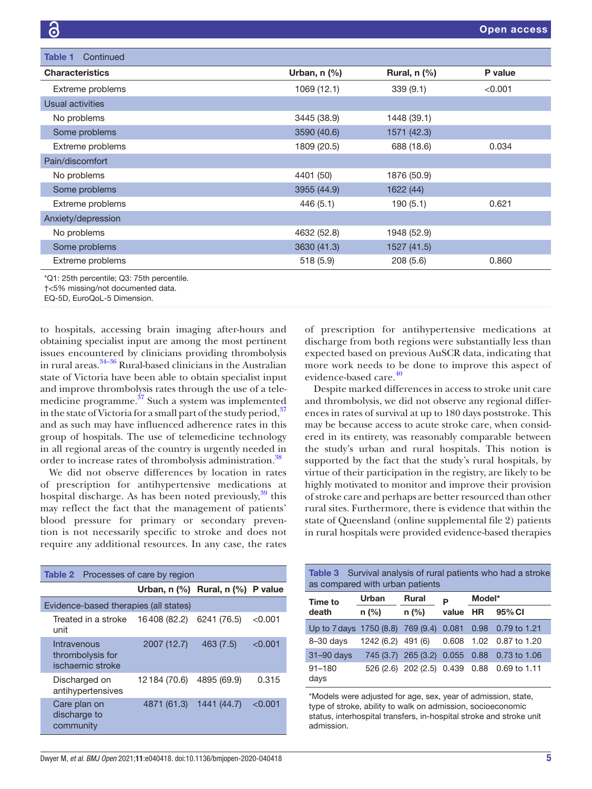| Continued<br>Table 1   |                |                |         |
|------------------------|----------------|----------------|---------|
| <b>Characteristics</b> | Urban, $n$ $%$ | Rural, $n$ $%$ | P value |
| Extreme problems       | 1069 (12.1)    | 339(9.1)       | < 0.001 |
| Usual activities       |                |                |         |
| No problems            | 3445 (38.9)    | 1448 (39.1)    |         |
| Some problems          | 3590 (40.6)    | 1571 (42.3)    |         |
| Extreme problems       | 1809 (20.5)    | 688 (18.6)     | 0.034   |
| Pain/discomfort        |                |                |         |
| No problems            | 4401 (50)      | 1876 (50.9)    |         |
| Some problems          | 3955 (44.9)    | 1622 (44)      |         |
| Extreme problems       | 446(5.1)       | 190(5.1)       | 0.621   |
| Anxiety/depression     |                |                |         |
| No problems            | 4632 (52.8)    | 1948 (52.9)    |         |
| Some problems          | 3630 (41.3)    | 1527 (41.5)    |         |
| Extreme problems       | 518 (5.9)      | 208(5.6)       | 0.860   |

\*Q1: 25th percentile; Q3: 75th percentile.

†<5% missing/not documented data.

EQ-5D, EuroQoL-5 Dimension.

to hospitals, accessing brain imaging after-hours and obtaining specialist input are among the most pertinent issues encountered by clinicians providing thrombolysis in rural areas.<sup>[34–36](#page-7-10)</sup> Rural-based clinicians in the Australian state of Victoria have been able to obtain specialist input and improve thrombolysis rates through the use of a tele-medicine programme.<sup>[37](#page-7-11)</sup> Such a system was implemented in the state of Victoria for a small part of the study period,  $37$ and as such may have influenced adherence rates in this group of hospitals. The use of telemedicine technology in all regional areas of the country is urgently needed in order to increase rates of thrombolysis administration.<sup>[38](#page-7-12)</sup>

We did not observe differences by location in rates of prescription for antihypertensive medications at hospital discharge. As has been noted previously,<sup>[39](#page-7-13)</sup> this may reflect the fact that the management of patients' blood pressure for primary or secondary prevention is not necessarily specific to stroke and does not require any additional resources. In any case, the rates

<span id="page-4-0"></span>

| <b>Table 2</b> Processes of care by region          |                                       |             |         |  |  |
|-----------------------------------------------------|---------------------------------------|-------------|---------|--|--|
|                                                     | Urban, $n$ (%) Rural, $n$ (%) P value |             |         |  |  |
| Evidence-based therapies (all states)               |                                       |             |         |  |  |
| Treated in a stroke<br>unit                         | 16408 (82.2)                          | 6241 (76.5) | < 0.001 |  |  |
| Intravenous<br>thrombolysis for<br>ischaemic stroke | 2007 (12.7)                           | 463(7.5)    | < 0.001 |  |  |
| Discharged on<br>antihypertensives                  | 12184 (70.6)                          | 4895 (69.9) | 0.315   |  |  |
| Care plan on<br>discharge to<br>community           | 4871 (61.3)                           | 1441 (44.7) | < 0.001 |  |  |

of prescription for antihypertensive medications at discharge from both regions were substantially less than expected based on previous AuSCR data, indicating that more work needs to be done to improve this aspect of evidence-based care.<sup>[40](#page-7-14)</sup>

Despite marked differences in access to stroke unit care and thrombolysis, we did not observe any regional differences in rates of survival at up to 180 days poststroke. This may be because access to acute stroke care, when considered in its entirety, was reasonably comparable between the study's urban and rural hospitals. This notion is supported by the fact that the study's rural hospitals, by virtue of their participation in the registry, are likely to be highly motivated to monitor and improve their provision of stroke care and perhaps are better resourced than other rural sites. Furthermore, there is evidence that within the state of Queensland ([online supplemental file 2\)](https://dx.doi.org/10.1136/bmjopen-2020-040418) patients in rural hospitals were provided evidence-based therapies

<span id="page-4-1"></span>

| <b>Table 3</b> Survival analysis of rural patients who had a stroke<br>as compared with urban patients |                    |                                |               |        |                                             |
|--------------------------------------------------------------------------------------------------------|--------------------|--------------------------------|---------------|--------|---------------------------------------------|
| Time to<br>death                                                                                       | Urban              | <b>Rural</b>                   | P<br>value HR | Model* |                                             |
|                                                                                                        | $n$ (%)            | $n$ (%)                        |               |        | 95% CI                                      |
| Up to 7 days 1750 (8.8) 769 (9.4)                                                                      |                    |                                | 0.081         | 0.98   | 0.79 to 1.21                                |
| $8 - 30$ days                                                                                          | 1242 (6.2) 491 (6) |                                | 0.608         |        | 1.02 0.87 to 1.20                           |
| 31-90 days                                                                                             |                    |                                |               |        | 745 (3.7) 265 (3.2) 0.055 0.88 0.73 to 1.06 |
| $91 - 180$<br>days                                                                                     |                    | 526 (2.6) 202 (2.5) 0.439 0.88 |               |        | 0.69 to 1.11                                |

\*Models were adjusted for age, sex, year of admission, state, type of stroke, ability to walk on admission, socioeconomic status, interhospital transfers, in-hospital stroke and stroke unit admission.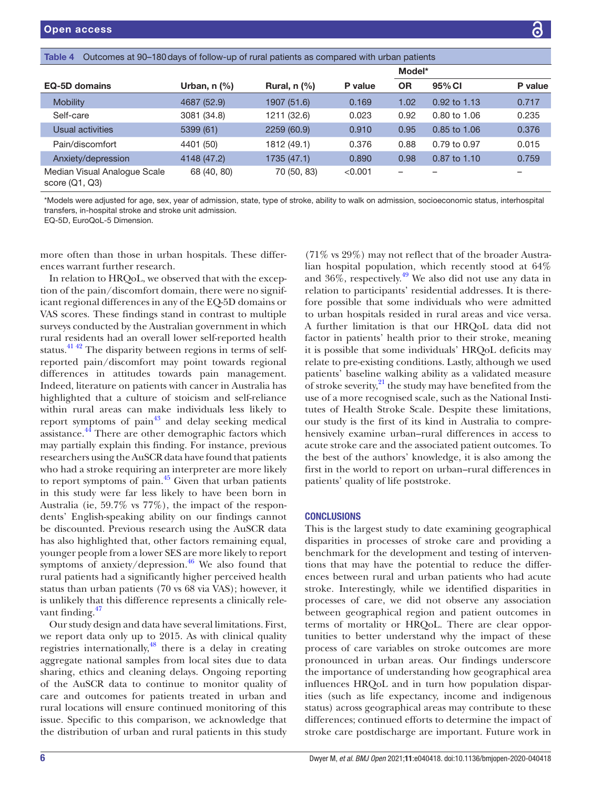<span id="page-5-0"></span>

| Outcomes at 90–180 days of follow-up of rural patients as compared with urban patients<br>Table 4 |                 |                |         |           |              |         |
|---------------------------------------------------------------------------------------------------|-----------------|----------------|---------|-----------|--------------|---------|
|                                                                                                   |                 |                |         | Model*    |              |         |
| <b>EQ-5D domains</b>                                                                              | Urban, n $(\%)$ | Rural, $n$ $%$ | P value | <b>OR</b> | 95% CI       | P value |
| <b>Mobility</b>                                                                                   | 4687 (52.9)     | 1907 (51.6)    | 0.169   | 1.02      | 0.92 to 1.13 | 0.717   |
| Self-care                                                                                         | 3081 (34.8)     | 1211 (32.6)    | 0.023   | 0.92      | 0.80 to 1.06 | 0.235   |
| Usual activities                                                                                  | 5399 (61)       | 2259 (60.9)    | 0.910   | 0.95      | 0.85 to 1.06 | 0.376   |
| Pain/discomfort                                                                                   | 4401 (50)       | 1812 (49.1)    | 0.376   | 0.88      | 0.79 to 0.97 | 0.015   |
| Anxiety/depression                                                                                | 4148 (47.2)     | 1735 (47.1)    | 0.890   | 0.98      | 0.87 to 1.10 | 0.759   |
| Median Visual Analoque Scale<br>score $(Q1, Q3)$                                                  | 68 (40, 80)     | 70 (50, 83)    | < 0.001 | -         |              |         |

\*Models were adjusted for age, sex, year of admission, state, type of stroke, ability to walk on admission, socioeconomic status, interhospital transfers, in-hospital stroke and stroke unit admission.

EQ-5D, EuroQoL-5 Dimension.

more often than those in urban hospitals. These differences warrant further research.

In relation to HRQoL, we observed that with the exception of the pain/discomfort domain, there were no significant regional differences in any of the EQ-5D domains or VAS scores. These findings stand in contrast to multiple surveys conducted by the Australian government in which rural residents had an overall lower self-reported health status.<sup>41 42</sup> The disparity between regions in terms of selfreported pain/discomfort may point towards regional differences in attitudes towards pain management. Indeed, literature on patients with cancer in Australia has highlighted that a culture of stoicism and self-reliance within rural areas can make individuals less likely to report symptoms of pain $43$  and delay seeking medical assistance.<sup>44</sup> There are other demographic factors which may partially explain this finding. For instance, previous researchers using the AuSCR data have found that patients who had a stroke requiring an interpreter are more likely to report symptoms of pain. $45$  Given that urban patients in this study were far less likely to have been born in Australia (ie, 59.7% vs 77%), the impact of the respondents' English-speaking ability on our findings cannot be discounted. Previous research using the AuSCR data has also highlighted that, other factors remaining equal, younger people from a lower SES are more likely to report symptoms of anxiety/depression.<sup>46</sup> We also found that rural patients had a significantly higher perceived health status than urban patients (70 vs 68 via VAS); however, it is unlikely that this difference represents a clinically relevant finding. $47$ 

Our study design and data have several limitations. First, we report data only up to 2015. As with clinical quality registries internationally, $48$  there is a delay in creating aggregate national samples from local sites due to data sharing, ethics and cleaning delays. Ongoing reporting of the AuSCR data to continue to monitor quality of care and outcomes for patients treated in urban and rural locations will ensure continued monitoring of this issue. Specific to this comparison, we acknowledge that the distribution of urban and rural patients in this study

(71% vs 29%) may not reflect that of the broader Australian hospital population, which recently stood at 64% and  $36\%$ , respectively.<sup>49</sup> We also did not use any data in relation to participants' residential addresses. It is therefore possible that some individuals who were admitted to urban hospitals resided in rural areas and vice versa. A further limitation is that our HRQoL data did not factor in patients' health prior to their stroke, meaning it is possible that some individuals' HRQoL deficits may relate to pre-existing conditions. Lastly, although we used patients' baseline walking ability as a validated measure of stroke severity, $^{21}$  the study may have benefited from the use of a more recognised scale, such as the National Institutes of Health Stroke Scale. Despite these limitations, our study is the first of its kind in Australia to comprehensively examine urban–rural differences in access to acute stroke care and the associated patient outcomes. To the best of the authors' knowledge, it is also among the first in the world to report on urban–rural differences in patients' quality of life poststroke.

#### **CONCLUSIONS**

This is the largest study to date examining geographical disparities in processes of stroke care and providing a benchmark for the development and testing of interventions that may have the potential to reduce the differences between rural and urban patients who had acute stroke. Interestingly, while we identified disparities in processes of care, we did not observe any association between geographical region and patient outcomes in terms of mortality or HRQoL. There are clear opportunities to better understand why the impact of these process of care variables on stroke outcomes are more pronounced in urban areas. Our findings underscore the importance of understanding how geographical area influences HRQoL and in turn how population disparities (such as life expectancy, income and indigenous status) across geographical areas may contribute to these differences; continued efforts to determine the impact of stroke care postdischarge are important. Future work in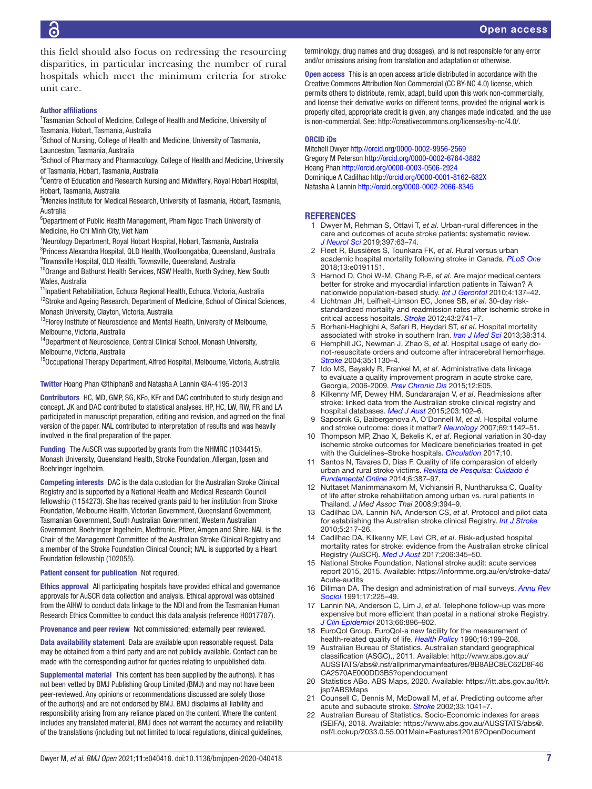this field should also focus on redressing the resourcing disparities, in particular increasing the number of rural hospitals which meet the minimum criteria for stroke unit care.

#### Author affiliations

<sup>1</sup> Tasmanian School of Medicine, College of Health and Medicine, University of Tasmania, Hobart, Tasmania, Australia

<sup>2</sup>School of Nursing, College of Health and Medicine, University of Tasmania, Launceston, Tasmania, Australia

<sup>3</sup>School of Pharmacy and Pharmacology, College of Health and Medicine, University of Tasmania, Hobart, Tasmania, Australia

<sup>4</sup> Centre of Education and Research Nursing and Midwifery, Royal Hobart Hospital, Hobart, Tasmania, Australia

5 Menzies Institute for Medical Research, University of Tasmania, Hobart, Tasmania, Australia

6 Department of Public Health Management, Pham Ngoc Thach University of Medicine, Ho Chi Minh City, Viet Nam

7 Neurology Department, Royal Hobart Hospital, Hobart, Tasmania, Australia

8 Princess Alexandra Hospital, QLD Health, Woolloongabba, Queensland, Australia <sup>9</sup>Townsville Hospital, QLD Health, Townsville, Queensland, Australia

<sup>10</sup> Orange and Bathurst Health Services, NSW Health, North Sydney, New South Wales, Australia

<sup>11</sup> Inpatient Rehabilitation, Echuca Regional Health, Echuca, Victoria, Australia

 $12$ Stroke and Ageing Research, Department of Medicine, School of Clinical Sciences, Monash University, Clayton, Victoria, Australia

<sup>13</sup>Florey Institute of Neuroscience and Mental Health, University of Melbourne, Melbourne, Victoria, Australia

<sup>14</sup>Department of Neuroscience, Central Clinical School, Monash University, Melbourne, Victoria, Australia

<sup>15</sup>Occupational Therapy Department, Alfred Hospital, Melbourne, Victoria, Australia

Twitter Hoang Phan [@thiphan8](https://twitter.com/thiphan8) and Natasha A Lannin [@A-4195-2013](https://twitter.com/A-4195-2013)

Contributors HC, MD, GMP, SG, KFo, KFr and DAC contributed to study design and concept. JK and DAC contributed to statistical analyses. HP, HC, LW, RW, FR and LA participated in manuscript preparation, editing and revision, and agreed on the final version of the paper. NAL contributed to interpretation of results and was heavily involved in the final preparation of the paper.

Funding The AuSCR was supported by grants from the NHMRC (1034415), Monash University, Queensland Health, Stroke Foundation, Allergan, Ipsen and Boehringer Ingelheim.

Competing interests DAC is the data custodian for the Australian Stroke Clinical Registry and is supported by a National Health and Medical Research Council fellowship (1154273). She has received grants paid to her institution from Stroke Foundation, Melbourne Health, Victorian Government, Queensland Government, Tasmanian Government, South Australian Government, Western Australian Government, Boehringer Ingelheim, Medtronic, Pfizer, Amgen and Shire. NAL is the Chair of the Management Committee of the Australian Stroke Clinical Registry and a member of the Stroke Foundation Clinical Council; NAL is supported by a Heart Foundation fellowship (102055).

Patient consent for publication Not required.

Ethics approval All participating hospitals have provided ethical and governance approvals for AuSCR data collection and analysis. Ethical approval was obtained from the AIHW to conduct data linkage to the NDI and from the Tasmanian Human Research Ethics Committee to conduct this data analysis (reference H0017787).

Provenance and peer review Not commissioned; externally peer reviewed.

Data availability statement Data are available upon reasonable request. Data may be obtained from a third party and are not publicly available. Contact can be made with the corresponding author for queries relating to unpublished data.

Supplemental material This content has been supplied by the author(s). It has not been vetted by BMJ Publishing Group Limited (BMJ) and may not have been peer-reviewed. Any opinions or recommendations discussed are solely those of the author(s) and are not endorsed by BMJ. BMJ disclaims all liability and responsibility arising from any reliance placed on the content. Where the content includes any translated material, BMJ does not warrant the accuracy and reliability of the translations (including but not limited to local regulations, clinical guidelines,

terminology, drug names and drug dosages), and is not responsible for any error and/or omissions arising from translation and adaptation or otherwise.

Open access This is an open access article distributed in accordance with the Creative Commons Attribution Non Commercial (CC BY-NC 4.0) license, which permits others to distribute, remix, adapt, build upon this work non-commercially, and license their derivative works on different terms, provided the original work is properly cited, appropriate credit is given, any changes made indicated, and the use is non-commercial. See: [http://creativecommons.org/licenses/by-nc/4.0/.](http://creativecommons.org/licenses/by-nc/4.0/)

#### ORCID iDs

Mitchell Dwyer <http://orcid.org/0000-0002-9956-2569> Gregory M Peterson<http://orcid.org/0000-0002-6764-3882> Hoang Phan<http://orcid.org/0000-0003-0506-2924> Dominique A Cadilhac<http://orcid.org/0000-0001-8162-682X> Natasha A Lannin<http://orcid.org/0000-0002-2066-8345>

#### REFERENCES

- <span id="page-6-0"></span>1 Dwyer M, Rehman S, Ottavi T, *et al*. Urban-rural differences in the care and outcomes of acute stroke patients: systematic review. *[J Neurol Sci](http://dx.doi.org/10.1016/j.jns.2018.12.021)* 2019;397:63–74.
- <span id="page-6-1"></span>2 Fleet R, Bussières S, Tounkara FK, *et al*. Rural versus urban academic hospital mortality following stroke in Canada. *[PLoS One](http://dx.doi.org/10.1371/journal.pone.0191151)* 2018;13:e0191151.
- 3 Harnod D, Choi W-M, Chang R-E, *et al*. Are major medical centers better for stroke and myocardial infarction patients in Taiwan? A nationwide population-based study. *[Int J Gerontol](http://dx.doi.org/10.1016/S1873-9598(10)70037-5)* 2010;4:137–42.
- 4 Lichtman JH, Leifheit-Limson EC, Jones SB, *et al*. 30-day riskstandardized mortality and readmission rates after ischemic stroke in critical access hospitals. *[Stroke](http://dx.doi.org/10.1161/STROKEAHA.112.665646)* 2012;43:2741–7.
- <span id="page-6-2"></span>5 Borhani-Haghighi A, Safari R, Heydari ST, *et al*. Hospital mortality associated with stroke in southern Iran. *[Iran J Med Sci](http://www.ncbi.nlm.nih.gov/pubmed/24293785)* 2013;38:314.
- 6 Hemphill JC, Newman J, Zhao S, *et al*. Hospital usage of early donot-resuscitate orders and outcome after intracerebral hemorrhage. *[Stroke](http://dx.doi.org/10.1161/01.STR.0000125858.71051.ca)* 2004;35:1130–4.
- 7 Ido MS, Bayakly R, Frankel M, *et al*. Administrative data linkage to evaluate a quality improvement program in acute stroke care, Georgia, 2006-2009. *[Prev Chronic Dis](http://dx.doi.org/10.5888/pcd12.140238)* 2015;12:E05.
- <span id="page-6-3"></span>8 Kilkenny MF, Dewey HM, Sundararajan V, *et al*. Readmissions after stroke: linked data from the Australian stroke clinical registry and hospital databases. *[Med J Aust](http://dx.doi.org/10.5694/mja15.00021)* 2015;203:102–6.
- 9 Saposnik G, Baibergenova A, O'Donnell M, *et al*. Hospital volume and stroke outcome: does it matter? *[Neurology](http://dx.doi.org/10.1212/01.wnl.0000268485.93349.58)* 2007;69:1142–51.
- 10 Thompson MP, Zhao X, Bekelis K, *et al*. Regional variation in 30-day ischemic stroke outcomes for Medicare beneficiaries treated in get with the Guidelines–Stroke hospitals. *[Circulation](http://dx.doi.org/10.1161/CIRCOUTCOMES.117.003604)* 2017;10.
- <span id="page-6-4"></span>11 Santos N, Tavares D, Dias F. Quality of life comparasion of elderly urban and rural stroke victims. *[Revista de Pesquisa: Cuidado é](http://dx.doi.org/10.9789/2175-5361.2014v6n1p387)  [Fundamental Online](http://dx.doi.org/10.9789/2175-5361.2014v6n1p387)* 2014;6:387–97.
- 12 Nuttaset Manimmanakorn M, Vichiansiri R, Nuntharuksa C. Quality of life after stroke rehabilitation among urban vs. rural patients in Thailand. *J Med Assoc Thai* 2008;9:394–9.
- <span id="page-6-5"></span>13 Cadilhac DA, Lannin NA, Anderson CS, *et al*. Protocol and pilot data for establishing the Australian stroke clinical Registry. *[Int J Stroke](http://dx.doi.org/10.1111/j.1747-4949.2010.00430.x)* 2010;5:217–26.
- <span id="page-6-6"></span>14 Cadilhac DA, Kilkenny MF, Levi CR, *et al*. Risk-adjusted hospital mortality rates for stroke: evidence from the Australian stroke clinical Registry (AuSCR). *[Med J Aust](http://dx.doi.org/10.5694/mja16.00525)* 2017;206:345–50.
- <span id="page-6-7"></span>15 National Stroke Foundation. National stroke audit: acute services report 2015, 2015. Available: [https://informme.org.au/en/stroke-data/](https://informme.org.au/en/stroke-data/Acute-audits) [Acute-audits](https://informme.org.au/en/stroke-data/Acute-audits)
- <span id="page-6-8"></span>16 Dillman DA. The design and administration of mail surveys. *[Annu Rev](http://dx.doi.org/10.1146/annurev.so.17.080191.001301)  [Sociol](http://dx.doi.org/10.1146/annurev.so.17.080191.001301)* 1991;17:225–49.
- <span id="page-6-9"></span>17 Lannin NA, Anderson C, Lim J, *et al*. Telephone follow-up was more expensive but more efficient than postal in a national stroke Registry. *[J Clin Epidemiol](http://dx.doi.org/10.1016/j.jclinepi.2013.03.005)* 2013;66:896–902.
- <span id="page-6-10"></span>18 EuroQol Group. EuroQol-a new facility for the measurement of health-related quality of life. *[Health Policy](http://dx.doi.org/10.1016/0168-8510(90)90421-9)* 1990;16:199–208.
- <span id="page-6-11"></span>19 Australian Bureau of Statistics. Australian standard geographical classification (ASGC),, 2011. Available: [http://www.abs.gov.au/](http://www.abs.gov.au/AUSSTATS/abs@.nsf/allprimarymainfeatures/8B8ABC8EC62D8F46CA2570AE000DD3B5?opendocument) [AUSSTATS/abs@.nsf/allprimarymainfeatures/8B8ABC8EC62D8F46](http://www.abs.gov.au/AUSSTATS/abs@.nsf/allprimarymainfeatures/8B8ABC8EC62D8F46CA2570AE000DD3B5?opendocument) [CA2570AE000DD3B5?opendocument](http://www.abs.gov.au/AUSSTATS/abs@.nsf/allprimarymainfeatures/8B8ABC8EC62D8F46CA2570AE000DD3B5?opendocument)
- <span id="page-6-12"></span>20 Statistics ABo. ABS Maps, 2020. Available: [https://itt.abs.gov.au/itt/r.](https://itt.abs.gov.au/itt/r.jsp?ABSMaps) [jsp?ABSMaps](https://itt.abs.gov.au/itt/r.jsp?ABSMaps)
- <span id="page-6-13"></span>21 Counsell C, Dennis M, McDowall M, *et al*. Predicting outcome after acute and subacute stroke. *[Stroke](http://dx.doi.org/10.1161/hs0402.105909)* 2002;33:1041–7.
- <span id="page-6-14"></span>22 Australian Bureau of Statistics. Socio-Economic indexes for areas (SEIFA), 2018. Available: [https://www.abs.gov.au/AUSSTATS/abs@.](https://www.abs.gov.au/AUSSTATS/abs@.nsf/Lookup/2033.0.55.001Main+Features12016?OpenDocument) [nsf/Lookup/2033.0.55.001Main+Features12016?OpenDocument](https://www.abs.gov.au/AUSSTATS/abs@.nsf/Lookup/2033.0.55.001Main+Features12016?OpenDocument)